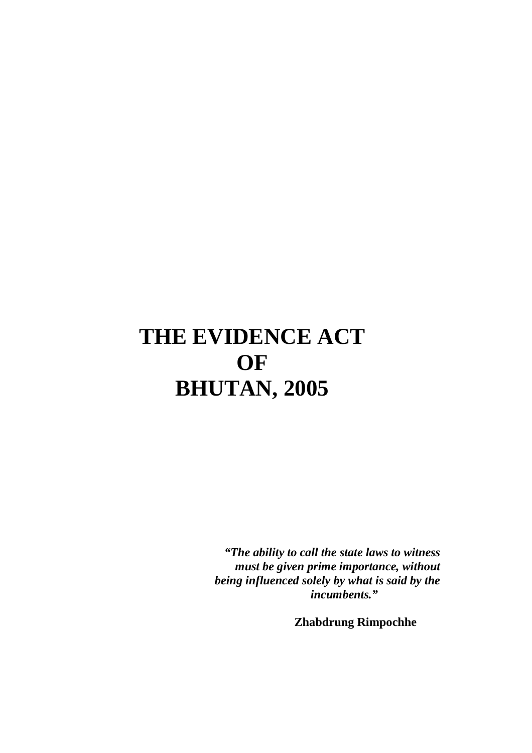# **THE EVIDENCE ACT OF BHUTAN, 2005**

 *"The ability to call the state laws to witness must be given prime importance, without being influenced solely by what is said by the incumbents."* 

**Zhabdrung Rimpochhe**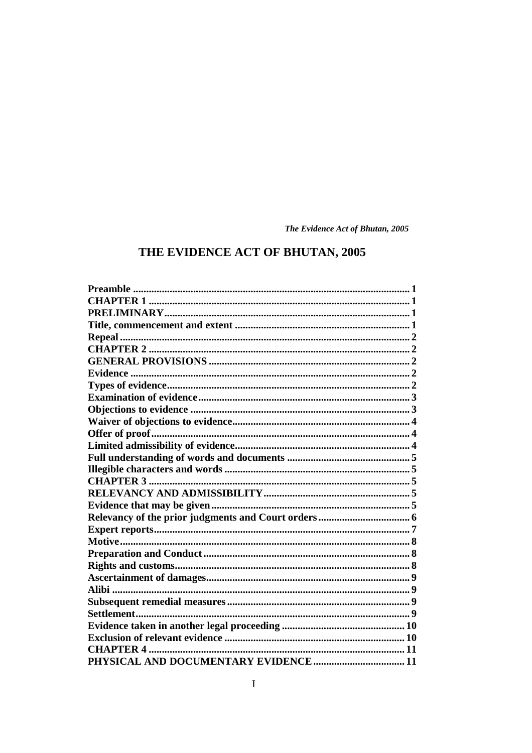## THE EVIDENCE ACT OF BHUTAN, 2005

| <b>CHAPTER 4 </b> |  |
|-------------------|--|
|                   |  |
|                   |  |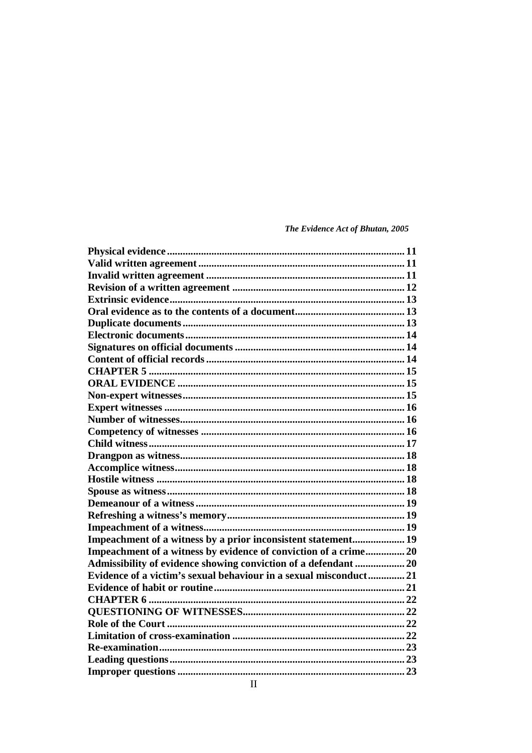| Impeachment of a witness by a prior inconsistent statement 19     |  |
|-------------------------------------------------------------------|--|
| Impeachment of a witness by evidence of conviction of a crime 20  |  |
| Admissibility of evidence showing conviction of a defendant  20   |  |
| Evidence of a victim's sexual behaviour in a sexual misconduct 21 |  |
|                                                                   |  |
| <b>CHAPTER 6 </b>                                                 |  |
|                                                                   |  |
|                                                                   |  |
|                                                                   |  |
|                                                                   |  |
|                                                                   |  |
|                                                                   |  |
|                                                                   |  |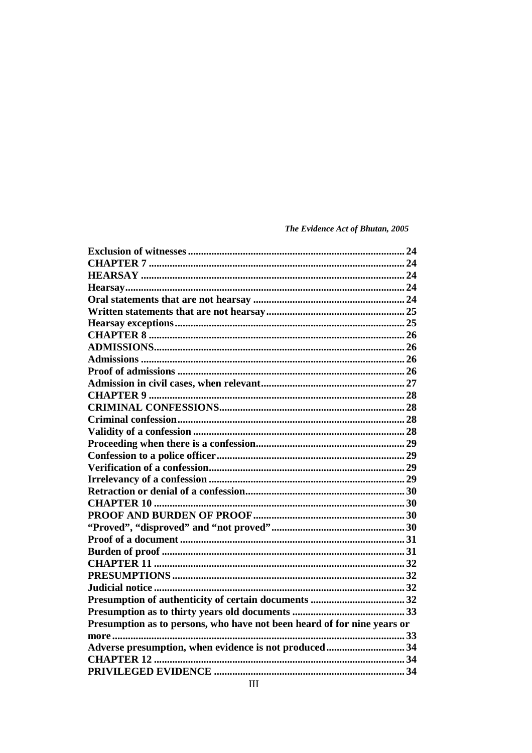| Presumption as to persons, who have not been heard of for nine years or |  |
|-------------------------------------------------------------------------|--|
|                                                                         |  |
| Adverse presumption, when evidence is not produced34                    |  |
|                                                                         |  |
|                                                                         |  |
|                                                                         |  |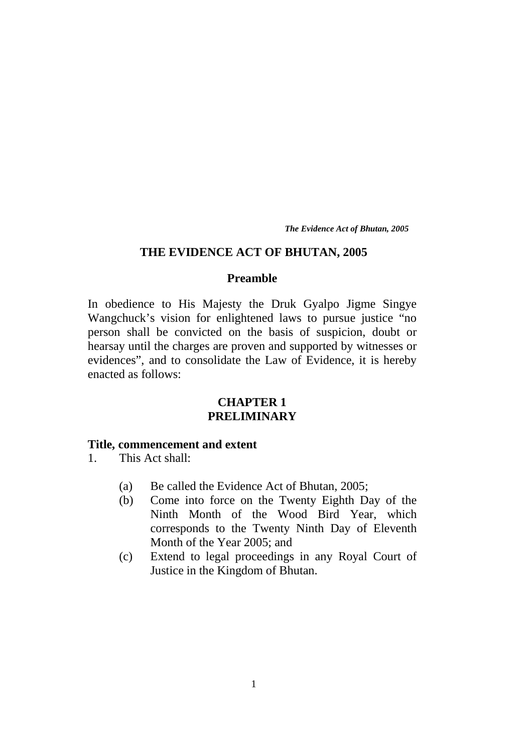#### **THE EVIDENCE ACT OF BHUTAN, 2005**

#### **Preamble**

In obedience to His Majesty the Druk Gyalpo Jigme Singye Wangchuck's vision for enlightened laws to pursue justice "no person shall be convicted on the basis of suspicion, doubt or hearsay until the charges are proven and supported by witnesses or evidences", and to consolidate the Law of Evidence, it is hereby enacted as follows:

## **CHAPTER 1 PRELIMINARY**

#### **Title, commencement and extent**

- 1. This Act shall:
	- (a) Be called the Evidence Act of Bhutan, 2005;
	- (b) Come into force on the Twenty Eighth Day of the Ninth Month of the Wood Bird Year, which corresponds to the Twenty Ninth Day of Eleventh Month of the Year 2005; and
	- (c) Extend to legal proceedings in any Royal Court of Justice in the Kingdom of Bhutan.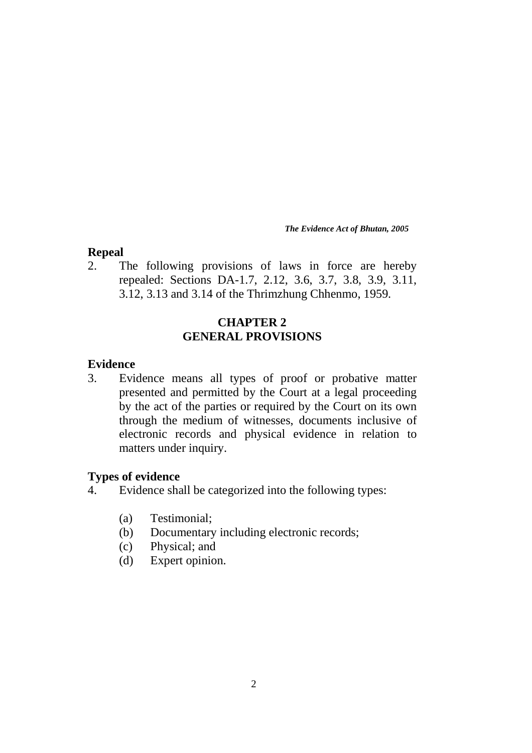## **Repeal**

2. The following provisions of laws in force are hereby repealed: Sections DA-1.7, 2.12, 3.6, 3.7, 3.8, 3.9, 3.11, 3.12, 3.13 and 3.14 of the Thrimzhung Chhenmo, 1959.

## **CHAPTER 2 GENERAL PROVISIONS**

## **Evidence**

3. Evidence means all types of proof or probative matter presented and permitted by the Court at a legal proceeding by the act of the parties or required by the Court on its own through the medium of witnesses, documents inclusive of electronic records and physical evidence in relation to matters under inquiry.

## **Types of evidence**

- 4. Evidence shall be categorized into the following types:
	- (a) Testimonial;
	- (b) Documentary including electronic records;
	- (c) Physical; and
	- (d) Expert opinion.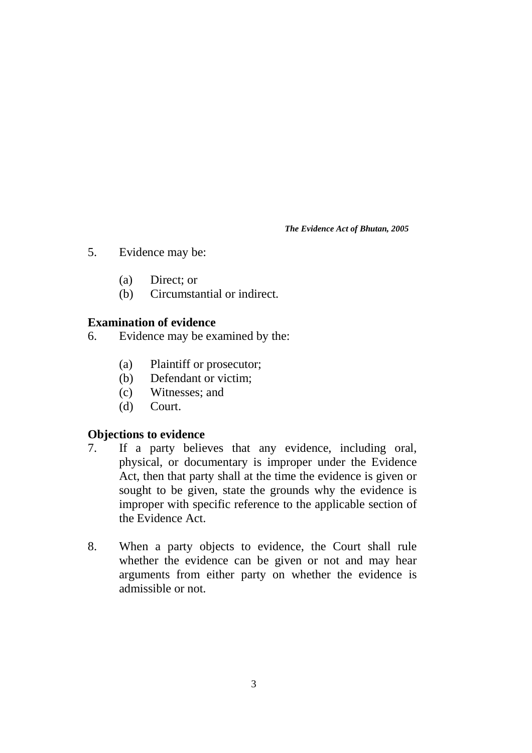- 5. Evidence may be:
	- (a) Direct; or
	- (b) Circumstantial or indirect.

## **Examination of evidence**

- 6. Evidence may be examined by the:
	- (a) Plaintiff or prosecutor;
	- (b) Defendant or victim;
	- (c) Witnesses; and
	- (d) Court.

## **Objections to evidence**

- 7. If a party believes that any evidence, including oral, physical, or documentary is improper under the Evidence Act, then that party shall at the time the evidence is given or sought to be given, state the grounds why the evidence is improper with specific reference to the applicable section of the Evidence Act.
- 8. When a party objects to evidence, the Court shall rule whether the evidence can be given or not and may hear arguments from either party on whether the evidence is admissible or not.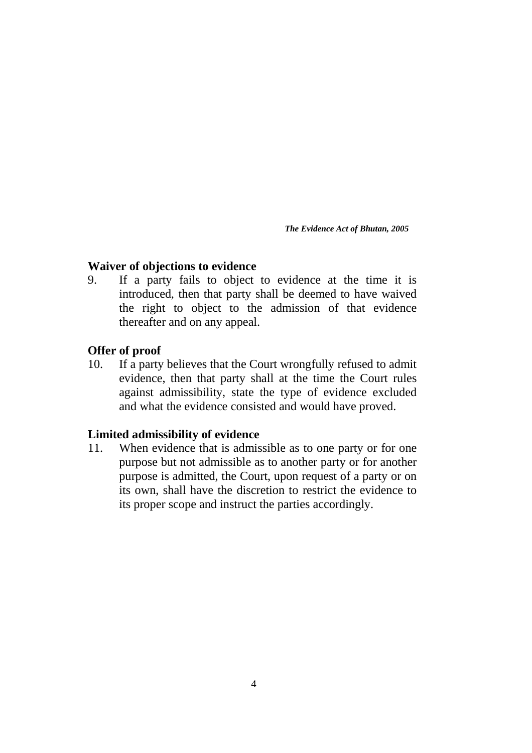## **Waiver of objections to evidence**

9. If a party fails to object to evidence at the time it is introduced, then that party shall be deemed to have waived the right to object to the admission of that evidence thereafter and on any appeal.

## **Offer of proof**

10. If a party believes that the Court wrongfully refused to admit evidence, then that party shall at the time the Court rules against admissibility, state the type of evidence excluded and what the evidence consisted and would have proved.

## **Limited admissibility of evidence**

11. When evidence that is admissible as to one party or for one purpose but not admissible as to another party or for another purpose is admitted, the Court, upon request of a party or on its own, shall have the discretion to restrict the evidence to its proper scope and instruct the parties accordingly.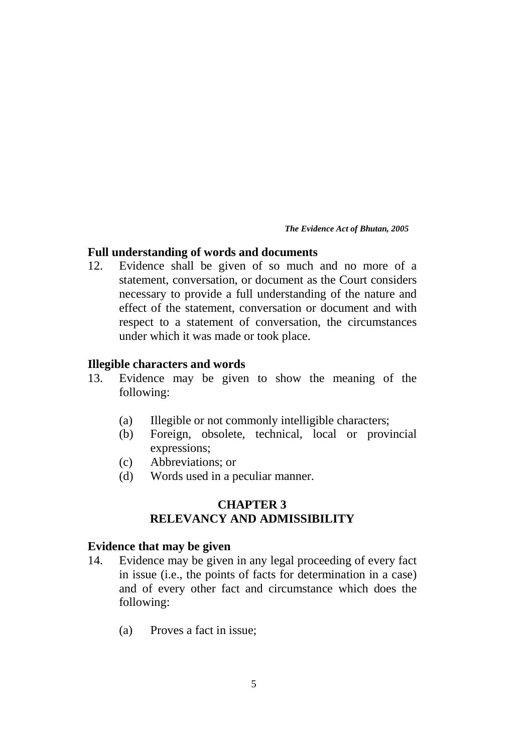## **Full understanding of words and documents**

12. Evidence shall be given of so much and no more of a statement, conversation, or document as the Court considers necessary to provide a full understanding of the nature and effect of the statement, conversation or document and with respect to a statement of conversation, the circumstances under which it was made or took place.

## **Illegible characters and words**

- 13. Evidence may be given to show the meaning of the following:
	- (a) Illegible or not commonly intelligible characters;
	- (b) Foreign, obsolete, technical, local or provincial expressions;
	- (c) Abbreviations; or
	- (d) Words used in a peculiar manner.

## **CHAPTER 3 RELEVANCY AND ADMISSIBILITY**

## **Evidence that may be given**

- 14. Evidence may be given in any legal proceeding of every fact in issue (i.e., the points of facts for determination in a case) and of every other fact and circumstance which does the following:
	- (a) Proves a fact in issue;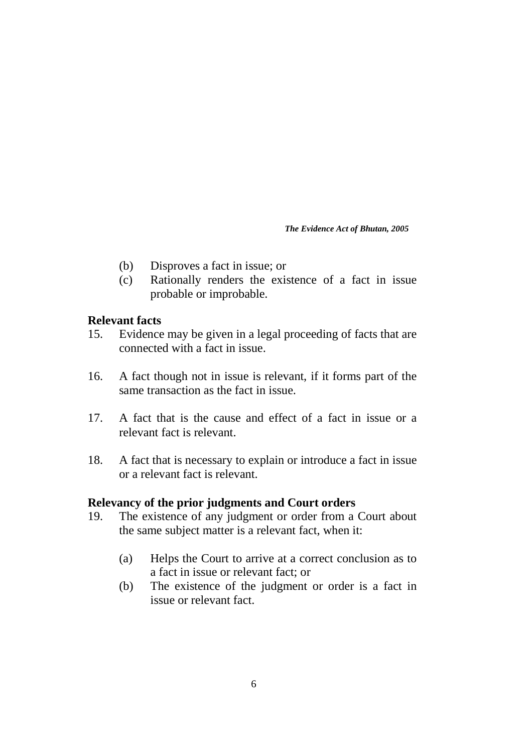- (b) Disproves a fact in issue; or
- (c) Rationally renders the existence of a fact in issue probable or improbable.

## **Relevant facts**

- 15. Evidence may be given in a legal proceeding of facts that are connected with a fact in issue.
- 16. A fact though not in issue is relevant, if it forms part of the same transaction as the fact in issue.
- 17. A fact that is the cause and effect of a fact in issue or a relevant fact is relevant.
- 18. A fact that is necessary to explain or introduce a fact in issue or a relevant fact is relevant.

## **Relevancy of the prior judgments and Court orders**

- 19. The existence of any judgment or order from a Court about the same subject matter is a relevant fact, when it:
	- (a) Helps the Court to arrive at a correct conclusion as to a fact in issue or relevant fact; or
	- (b) The existence of the judgment or order is a fact in issue or relevant fact.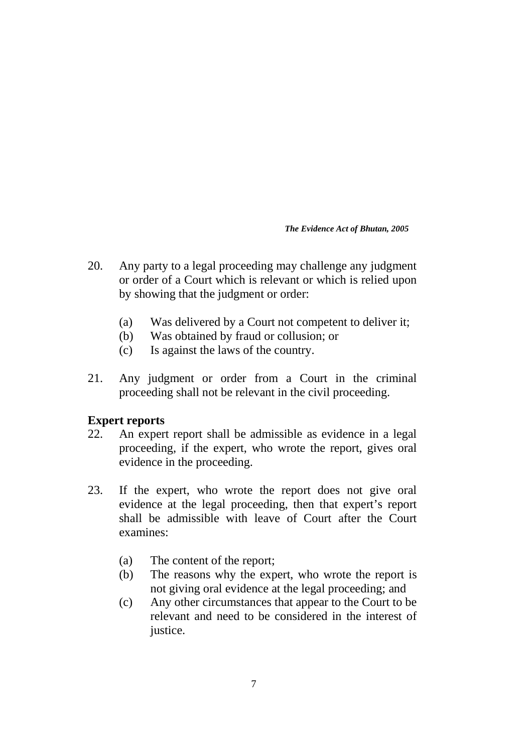- 20. Any party to a legal proceeding may challenge any judgment or order of a Court which is relevant or which is relied upon by showing that the judgment or order:
	- (a) Was delivered by a Court not competent to deliver it;
	- (b) Was obtained by fraud or collusion; or
	- (c) Is against the laws of the country.
- 21. Any judgment or order from a Court in the criminal proceeding shall not be relevant in the civil proceeding.

## **Expert reports**

- 22. An expert report shall be admissible as evidence in a legal proceeding, if the expert, who wrote the report, gives oral evidence in the proceeding.
- 23. If the expert, who wrote the report does not give oral evidence at the legal proceeding, then that expert's report shall be admissible with leave of Court after the Court examines:
	- (a) The content of the report;
	- (b) The reasons why the expert, who wrote the report is not giving oral evidence at the legal proceeding; and
	- (c) Any other circumstances that appear to the Court to be relevant and need to be considered in the interest of justice.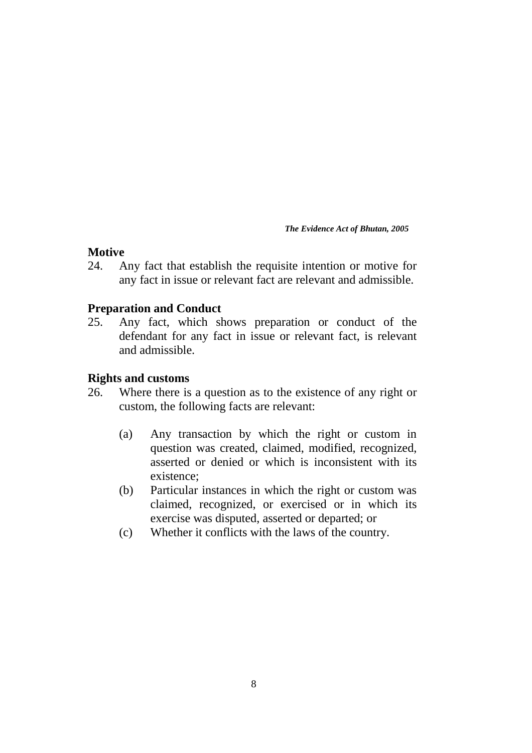## **Motive**

24. Any fact that establish the requisite intention or motive for any fact in issue or relevant fact are relevant and admissible.

## **Preparation and Conduct**

25. Any fact, which shows preparation or conduct of the defendant for any fact in issue or relevant fact, is relevant and admissible.

## **Rights and customs**

- 26. Where there is a question as to the existence of any right or custom, the following facts are relevant:
	- (a) Any transaction by which the right or custom in question was created, claimed, modified, recognized, asserted or denied or which is inconsistent with its existence;
	- (b) Particular instances in which the right or custom was claimed, recognized, or exercised or in which its exercise was disputed, asserted or departed; or
	- (c) Whether it conflicts with the laws of the country.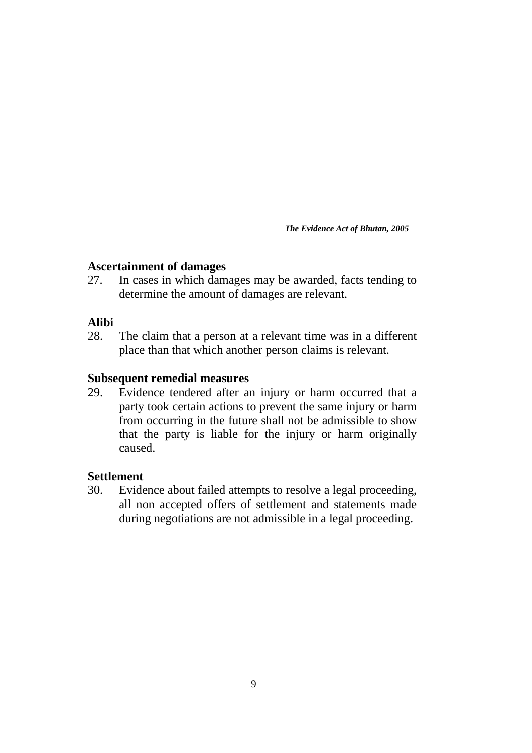## **Ascertainment of damages**

27. In cases in which damages may be awarded, facts tending to determine the amount of damages are relevant.

## **Alibi**

28. The claim that a person at a relevant time was in a different place than that which another person claims is relevant.

## **Subsequent remedial measures**

29. Evidence tendered after an injury or harm occurred that a party took certain actions to prevent the same injury or harm from occurring in the future shall not be admissible to show that the party is liable for the injury or harm originally caused.

## **Settlement**

30. Evidence about failed attempts to resolve a legal proceeding, all non accepted offers of settlement and statements made during negotiations are not admissible in a legal proceeding.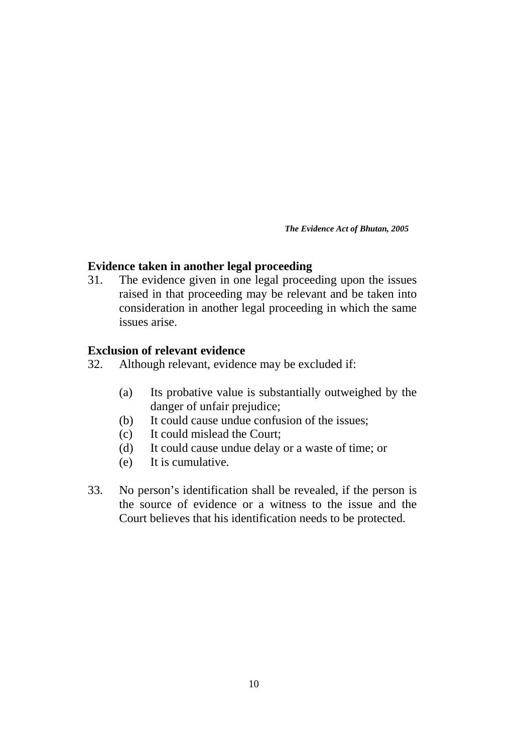## **Evidence taken in another legal proceeding**

31. The evidence given in one legal proceeding upon the issues raised in that proceeding may be relevant and be taken into consideration in another legal proceeding in which the same issues arise.

## **Exclusion of relevant evidence**

- 32. Although relevant, evidence may be excluded if:
	- (a) Its probative value is substantially outweighed by the danger of unfair prejudice;
	- (b) It could cause undue confusion of the issues;
	- (c) It could mislead the Court;
	- (d) It could cause undue delay or a waste of time; or
	- (e) It is cumulative.
- 33. No person's identification shall be revealed, if the person is the source of evidence or a witness to the issue and the Court believes that his identification needs to be protected.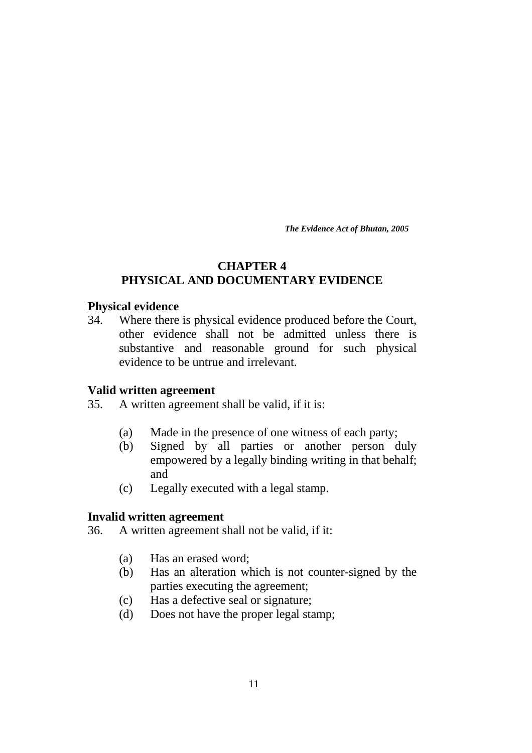## **CHAPTER 4 PHYSICAL AND DOCUMENTARY EVIDENCE**

## **Physical evidence**

34. Where there is physical evidence produced before the Court, other evidence shall not be admitted unless there is substantive and reasonable ground for such physical evidence to be untrue and irrelevant.

## **Valid written agreement**

- 35. A written agreement shall be valid, if it is:
	- (a) Made in the presence of one witness of each party;
	- (b) Signed by all parties or another person duly empowered by a legally binding writing in that behalf; and
	- (c) Legally executed with a legal stamp.

#### **Invalid written agreement**

- 36. A written agreement shall not be valid, if it:
	- (a) Has an erased word;
	- (b) Has an alteration which is not counter-signed by the parties executing the agreement;
	- (c) Has a defective seal or signature;
	- (d) Does not have the proper legal stamp;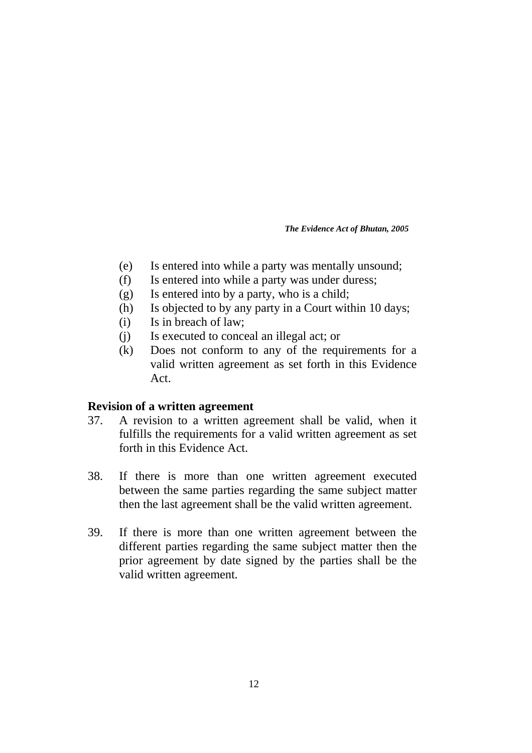- (e) Is entered into while a party was mentally unsound;
- (f) Is entered into while a party was under duress;
- (g) Is entered into by a party, who is a child;
- (h) Is objected to by any party in a Court within 10 days;
- (i) Is in breach of law;
- (j) Is executed to conceal an illegal act; or
- (k) Does not conform to any of the requirements for a valid written agreement as set forth in this Evidence Act.

## **Revision of a written agreement**

- 37. A revision to a written agreement shall be valid, when it fulfills the requirements for a valid written agreement as set forth in this Evidence Act.
- 38. If there is more than one written agreement executed between the same parties regarding the same subject matter then the last agreement shall be the valid written agreement.
- 39. If there is more than one written agreement between the different parties regarding the same subject matter then the prior agreement by date signed by the parties shall be the valid written agreement.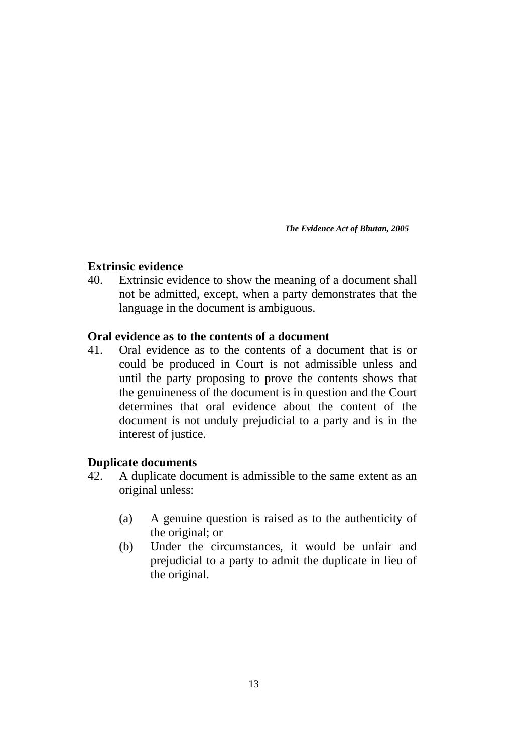## **Extrinsic evidence**

40. Extrinsic evidence to show the meaning of a document shall not be admitted, except, when a party demonstrates that the language in the document is ambiguous.

## **Oral evidence as to the contents of a document**

41. Oral evidence as to the contents of a document that is or could be produced in Court is not admissible unless and until the party proposing to prove the contents shows that the genuineness of the document is in question and the Court determines that oral evidence about the content of the document is not unduly prejudicial to a party and is in the interest of justice.

## **Duplicate documents**

- 42. A duplicate document is admissible to the same extent as an original unless:
	- (a) A genuine question is raised as to the authenticity of the original; or
	- (b) Under the circumstances, it would be unfair and prejudicial to a party to admit the duplicate in lieu of the original.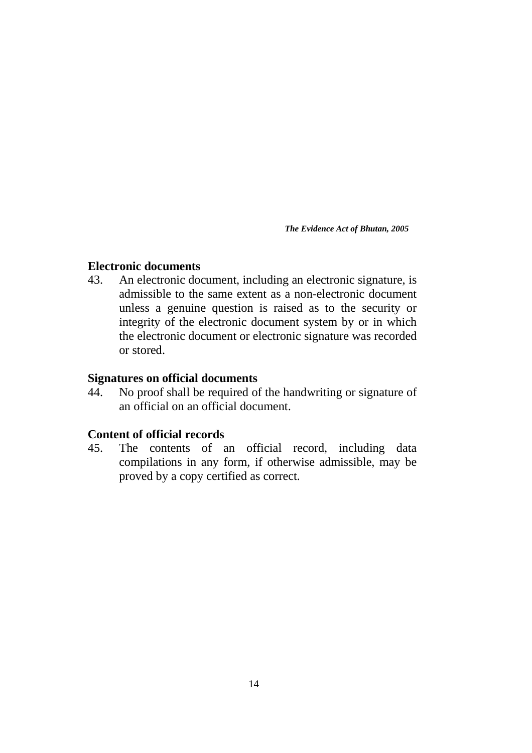## **Electronic documents**

43. An electronic document, including an electronic signature, is admissible to the same extent as a non-electronic document unless a genuine question is raised as to the security or integrity of the electronic document system by or in which the electronic document or electronic signature was recorded or stored.

## **Signatures on official documents**

44. No proof shall be required of the handwriting or signature of an official on an official document.

## **Content of official records**

45. The contents of an official record, including data compilations in any form, if otherwise admissible, may be proved by a copy certified as correct.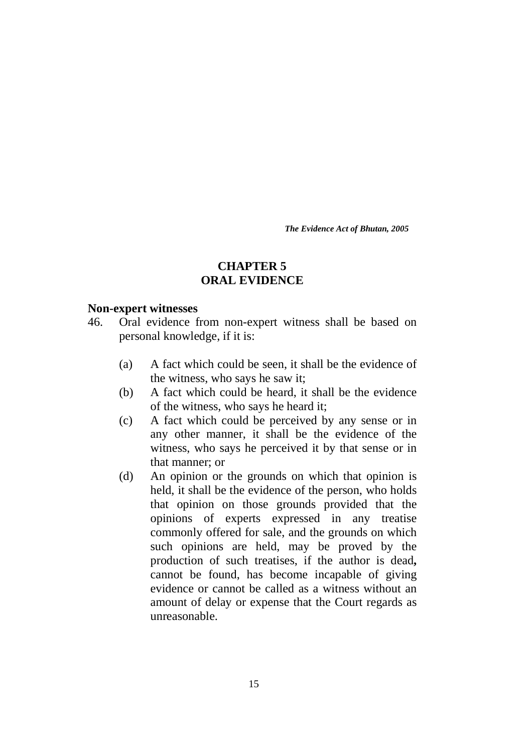## **CHAPTER 5 ORAL EVIDENCE**

#### **Non-expert witnesses**

- 46. Oral evidence from non-expert witness shall be based on personal knowledge, if it is:
	- (a) A fact which could be seen, it shall be the evidence of the witness, who says he saw it;
	- (b) A fact which could be heard, it shall be the evidence of the witness, who says he heard it;
	- (c) A fact which could be perceived by any sense or in any other manner, it shall be the evidence of the witness, who says he perceived it by that sense or in that manner; or
	- (d) An opinion or the grounds on which that opinion is held, it shall be the evidence of the person, who holds that opinion on those grounds provided that the opinions of experts expressed in any treatise commonly offered for sale, and the grounds on which such opinions are held, may be proved by the production of such treatises, if the author is dead**,** cannot be found, has become incapable of giving evidence or cannot be called as a witness without an amount of delay or expense that the Court regards as unreasonable.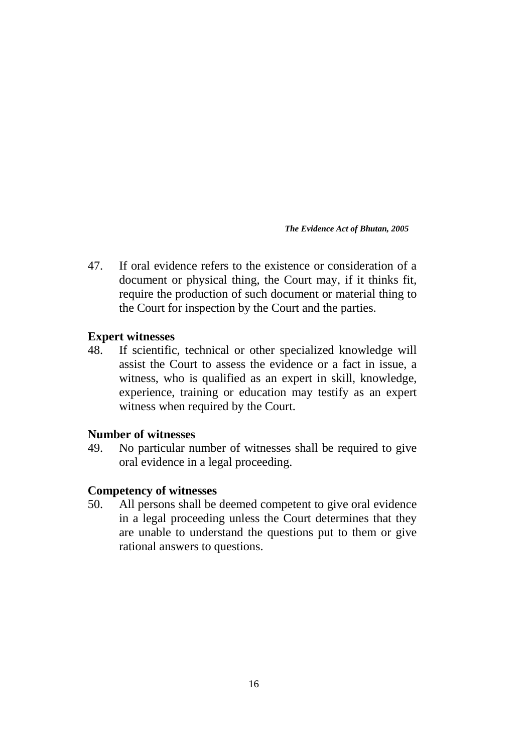47. If oral evidence refers to the existence or consideration of a document or physical thing, the Court may, if it thinks fit, require the production of such document or material thing to the Court for inspection by the Court and the parties.

## **Expert witnesses**

48. If scientific, technical or other specialized knowledge will assist the Court to assess the evidence or a fact in issue, a witness, who is qualified as an expert in skill, knowledge, experience, training or education may testify as an expert witness when required by the Court.

## **Number of witnesses**

49. No particular number of witnesses shall be required to give oral evidence in a legal proceeding.

## **Competency of witnesses**

50. All persons shall be deemed competent to give oral evidence in a legal proceeding unless the Court determines that they are unable to understand the questions put to them or give rational answers to questions.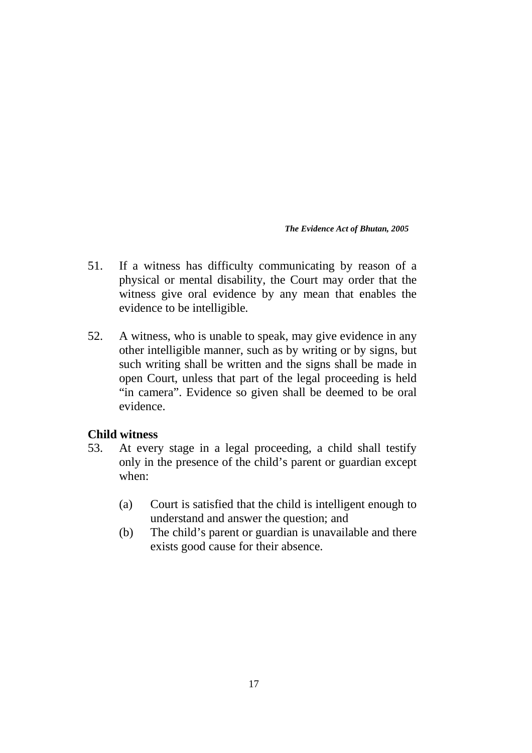- 51. If a witness has difficulty communicating by reason of a physical or mental disability, the Court may order that the witness give oral evidence by any mean that enables the evidence to be intelligible.
- 52. A witness, who is unable to speak, may give evidence in any other intelligible manner, such as by writing or by signs, but such writing shall be written and the signs shall be made in open Court, unless that part of the legal proceeding is held "in camera". Evidence so given shall be deemed to be oral evidence.

## **Child witness**

- 53. At every stage in a legal proceeding, a child shall testify only in the presence of the child's parent or guardian except when:
	- (a) Court is satisfied that the child is intelligent enough to understand and answer the question; and
	- (b) The child's parent or guardian is unavailable and there exists good cause for their absence.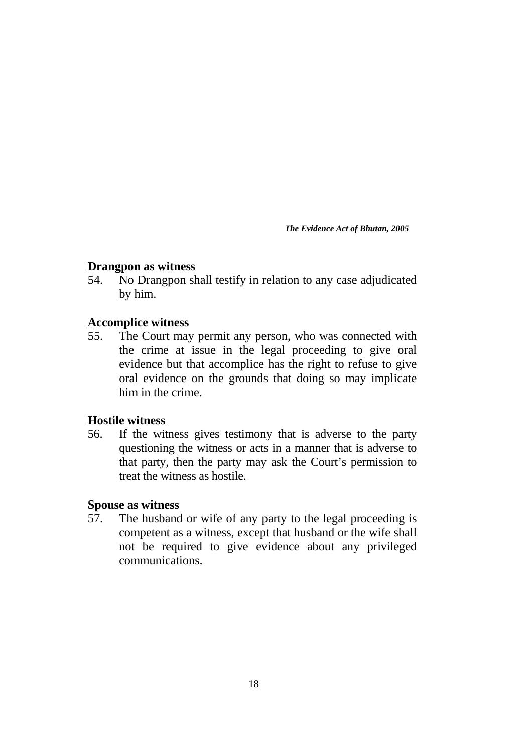## **Drangpon as witness**

54. No Drangpon shall testify in relation to any case adjudicated by him.

## **Accomplice witness**

55. The Court may permit any person, who was connected with the crime at issue in the legal proceeding to give oral evidence but that accomplice has the right to refuse to give oral evidence on the grounds that doing so may implicate him in the crime.

## **Hostile witness**

56. If the witness gives testimony that is adverse to the party questioning the witness or acts in a manner that is adverse to that party, then the party may ask the Court's permission to treat the witness as hostile.

## **Spouse as witness**

57. The husband or wife of any party to the legal proceeding is competent as a witness, except that husband or the wife shall not be required to give evidence about any privileged communications.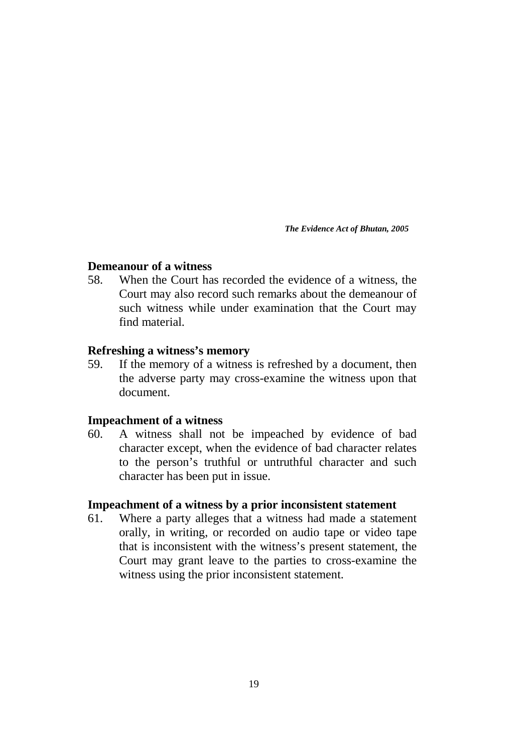## **Demeanour of a witness**

58. When the Court has recorded the evidence of a witness, the Court may also record such remarks about the demeanour of such witness while under examination that the Court may find material.

#### **Refreshing a witness's memory**

59. If the memory of a witness is refreshed by a document, then the adverse party may cross-examine the witness upon that document.

#### **Impeachment of a witness**

60. A witness shall not be impeached by evidence of bad character except, when the evidence of bad character relates to the person's truthful or untruthful character and such character has been put in issue.

#### **Impeachment of a witness by a prior inconsistent statement**

61. Where a party alleges that a witness had made a statement orally, in writing, or recorded on audio tape or video tape that is inconsistent with the witness's present statement, the Court may grant leave to the parties to cross-examine the witness using the prior inconsistent statement.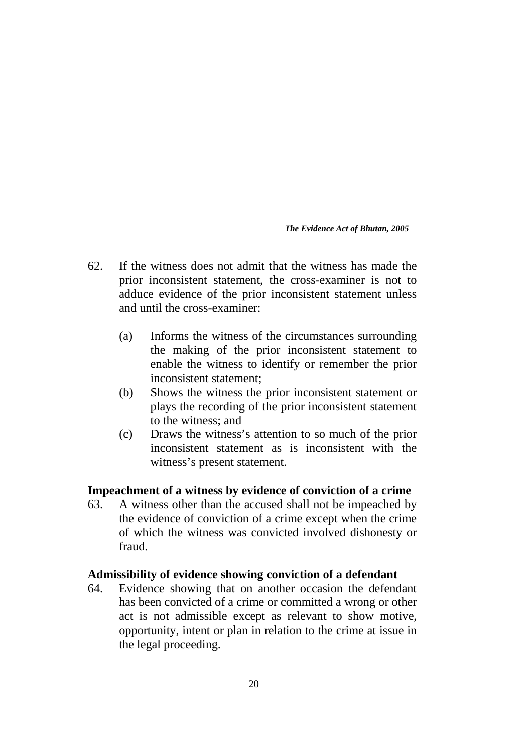- 62. If the witness does not admit that the witness has made the prior inconsistent statement, the cross-examiner is not to adduce evidence of the prior inconsistent statement unless and until the cross-examiner:
	- (a) Informs the witness of the circumstances surrounding the making of the prior inconsistent statement to enable the witness to identify or remember the prior inconsistent statement;
	- (b) Shows the witness the prior inconsistent statement or plays the recording of the prior inconsistent statement to the witness; and
	- (c) Draws the witness's attention to so much of the prior inconsistent statement as is inconsistent with the witness's present statement.

## **Impeachment of a witness by evidence of conviction of a crime**

63. A witness other than the accused shall not be impeached by the evidence of conviction of a crime except when the crime of which the witness was convicted involved dishonesty or fraud.

## **Admissibility of evidence showing conviction of a defendant**

64. Evidence showing that on another occasion the defendant has been convicted of a crime or committed a wrong or other act is not admissible except as relevant to show motive, opportunity, intent or plan in relation to the crime at issue in the legal proceeding.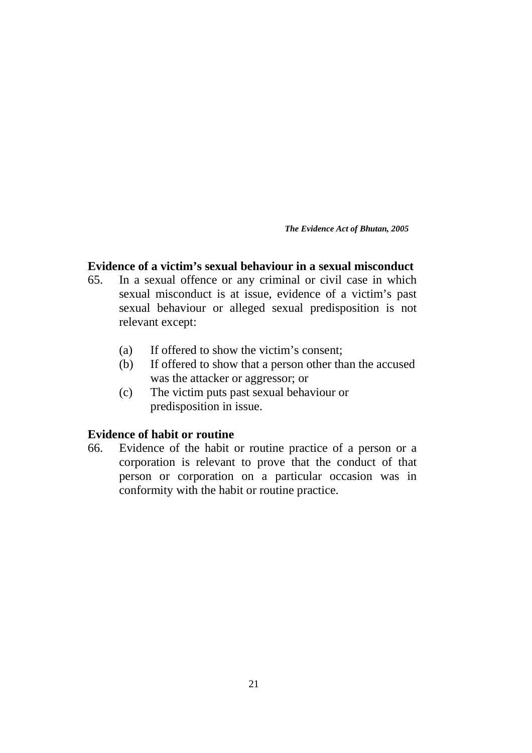## **Evidence of a victim's sexual behaviour in a sexual misconduct**

- 65. In a sexual offence or any criminal or civil case in which sexual misconduct is at issue, evidence of a victim's past sexual behaviour or alleged sexual predisposition is not relevant except:
	- (a) If offered to show the victim's consent;
	- (b) If offered to show that a person other than the accused was the attacker or aggressor; or
	- (c) The victim puts past sexual behaviour or predisposition in issue.

## **Evidence of habit or routine**

66. Evidence of the habit or routine practice of a person or a corporation is relevant to prove that the conduct of that person or corporation on a particular occasion was in conformity with the habit or routine practice.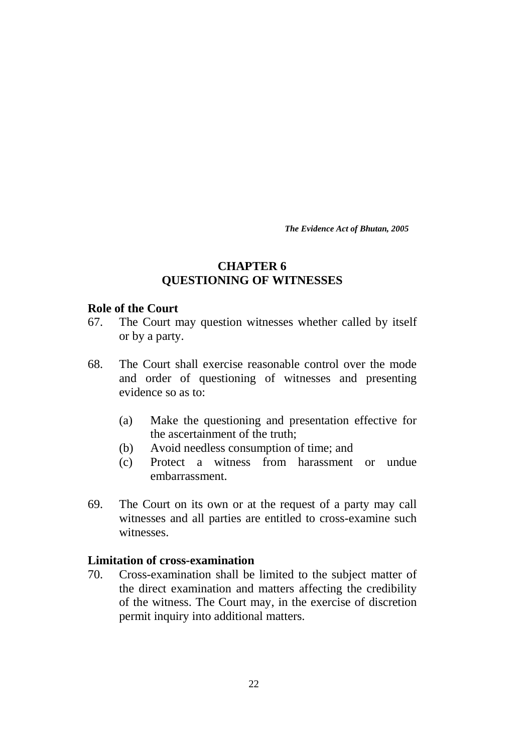## **CHAPTER 6 QUESTIONING OF WITNESSES**

#### **Role of the Court**

- 67. The Court may question witnesses whether called by itself or by a party.
- 68. The Court shall exercise reasonable control over the mode and order of questioning of witnesses and presenting evidence so as to:
	- (a) Make the questioning and presentation effective for the ascertainment of the truth;
	- (b) Avoid needless consumption of time; and
	- (c) Protect a witness from harassment or undue embarrassment.
- 69. The Court on its own or at the request of a party may call witnesses and all parties are entitled to cross-examine such witnesses.

## **Limitation of cross-examination**

70. Cross-examination shall be limited to the subject matter of the direct examination and matters affecting the credibility of the witness. The Court may, in the exercise of discretion permit inquiry into additional matters.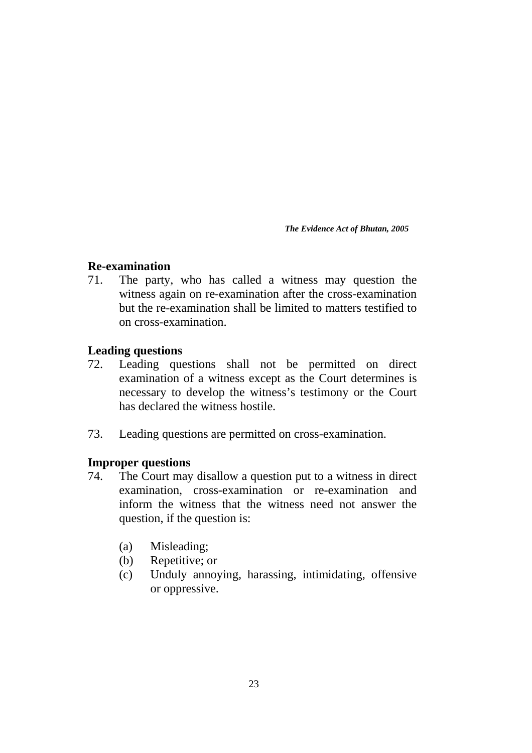## **Re-examination**

71. The party, who has called a witness may question the witness again on re-examination after the cross-examination but the re-examination shall be limited to matters testified to on cross-examination.

## **Leading questions**

- 72. Leading questions shall not be permitted on direct examination of a witness except as the Court determines is necessary to develop the witness's testimony or the Court has declared the witness hostile.
- 73. Leading questions are permitted on cross-examination.

## **Improper questions**

- 74. The Court may disallow a question put to a witness in direct examination, cross-examination or re-examination and inform the witness that the witness need not answer the question, if the question is:
	- (a) Misleading;
	- (b) Repetitive; or
	- (c) Unduly annoying, harassing, intimidating, offensive or oppressive.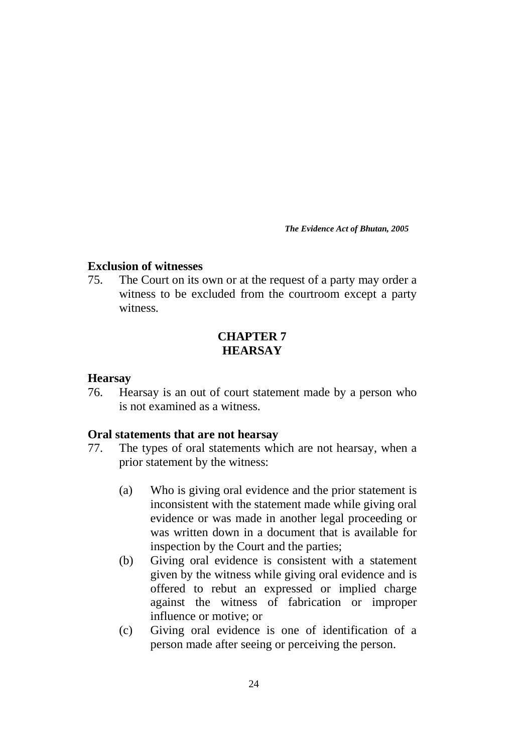## **Exclusion of witnesses**

75. The Court on its own or at the request of a party may order a witness to be excluded from the courtroom except a party witness.

## **CHAPTER 7 HEARSAY**

## **Hearsay**

76. Hearsay is an out of court statement made by a person who is not examined as a witness.

## **Oral statements that are not hearsay**

- 77. The types of oral statements which are not hearsay, when a prior statement by the witness:
	- (a) Who is giving oral evidence and the prior statement is inconsistent with the statement made while giving oral evidence or was made in another legal proceeding or was written down in a document that is available for inspection by the Court and the parties;
	- (b) Giving oral evidence is consistent with a statement given by the witness while giving oral evidence and is offered to rebut an expressed or implied charge against the witness of fabrication or improper influence or motive; or
	- (c) Giving oral evidence is one of identification of a person made after seeing or perceiving the person.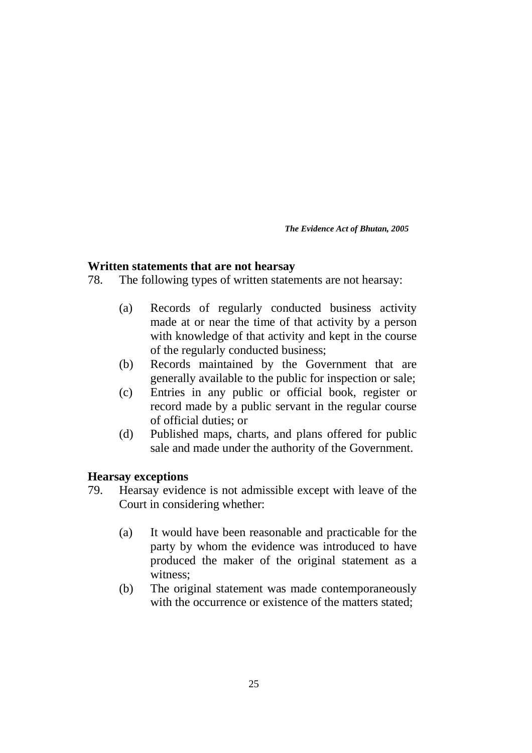## **Written statements that are not hearsay**

78. The following types of written statements are not hearsay:

- (a) Records of regularly conducted business activity made at or near the time of that activity by a person with knowledge of that activity and kept in the course of the regularly conducted business;
- (b) Records maintained by the Government that are generally available to the public for inspection or sale;
- (c) Entries in any public or official book, register or record made by a public servant in the regular course of official duties; or
- (d) Published maps, charts, and plans offered for public sale and made under the authority of the Government.

## **Hearsay exceptions**

- 79. Hearsay evidence is not admissible except with leave of the Court in considering whether:
	- (a) It would have been reasonable and practicable for the party by whom the evidence was introduced to have produced the maker of the original statement as a witness;
	- (b) The original statement was made contemporaneously with the occurrence or existence of the matters stated: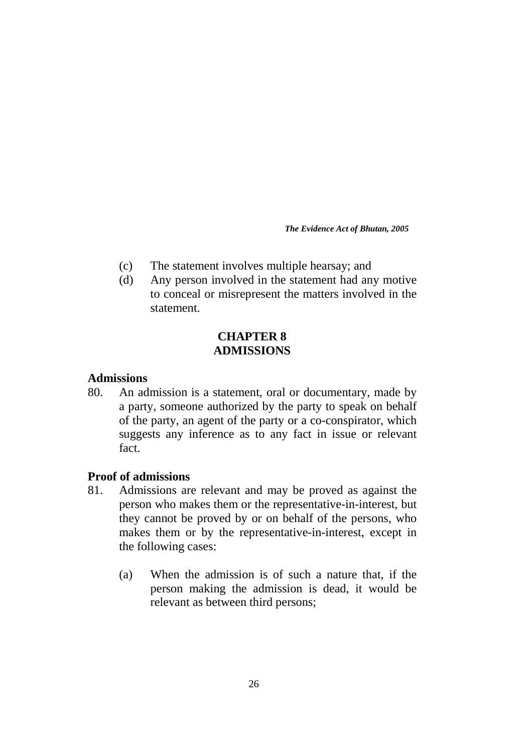- (c) The statement involves multiple hearsay; and
- (d) Any person involved in the statement had any motive to conceal or misrepresent the matters involved in the statement.

## **CHAPTER 8 ADMISSIONS**

## **Admissions**

80. An admission is a statement, oral or documentary, made by a party, someone authorized by the party to speak on behalf of the party, an agent of the party or a co-conspirator, which suggests any inference as to any fact in issue or relevant fact.

## **Proof of admissions**

- 81. Admissions are relevant and may be proved as against the person who makes them or the representative-in-interest, but they cannot be proved by or on behalf of the persons, who makes them or by the representative-in-interest, except in the following cases:
	- (a) When the admission is of such a nature that, if the person making the admission is dead, it would be relevant as between third persons;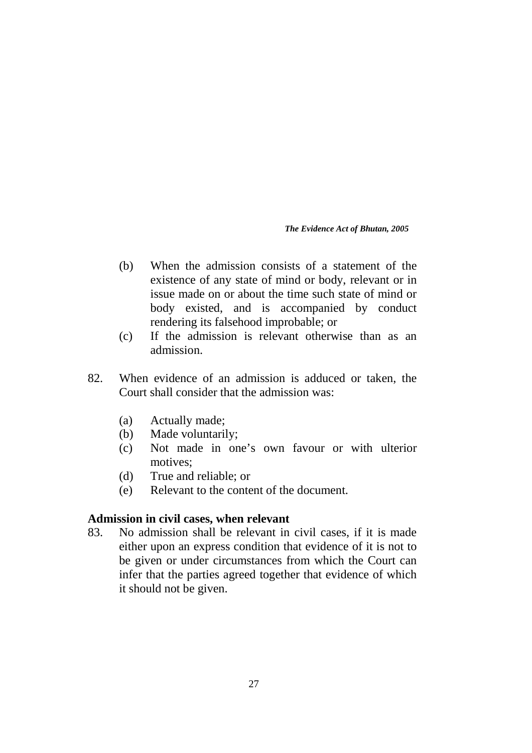- (b) When the admission consists of a statement of the existence of any state of mind or body, relevant or in issue made on or about the time such state of mind or body existed, and is accompanied by conduct rendering its falsehood improbable; or
- (c) If the admission is relevant otherwise than as an admission.
- 82. When evidence of an admission is adduced or taken, the Court shall consider that the admission was:
	- (a) Actually made;
	- (b) Made voluntarily;
	- (c) Not made in one's own favour or with ulterior motives;
	- (d) True and reliable; or
	- (e) Relevant to the content of the document.

## **Admission in civil cases, when relevant**

83. No admission shall be relevant in civil cases, if it is made either upon an express condition that evidence of it is not to be given or under circumstances from which the Court can infer that the parties agreed together that evidence of which it should not be given.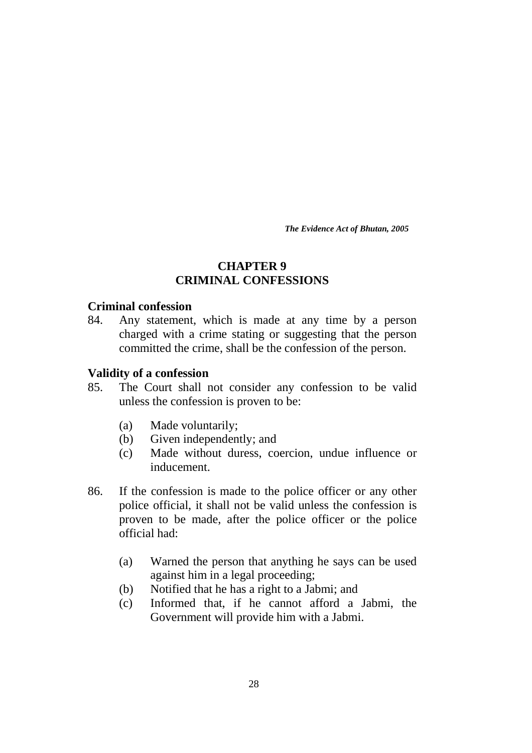## **CHAPTER 9 CRIMINAL CONFESSIONS**

## **Criminal confession**

84. Any statement, which is made at any time by a person charged with a crime stating or suggesting that the person committed the crime, shall be the confession of the person.

## **Validity of a confession**

- 85. The Court shall not consider any confession to be valid unless the confession is proven to be:
	- (a) Made voluntarily;
	- (b) Given independently; and
	- (c) Made without duress, coercion, undue influence or inducement.
- 86. If the confession is made to the police officer or any other police official, it shall not be valid unless the confession is proven to be made, after the police officer or the police official had:
	- (a) Warned the person that anything he says can be used against him in a legal proceeding;
	- (b) Notified that he has a right to a Jabmi; and
	- (c) Informed that, if he cannot afford a Jabmi, the Government will provide him with a Jabmi.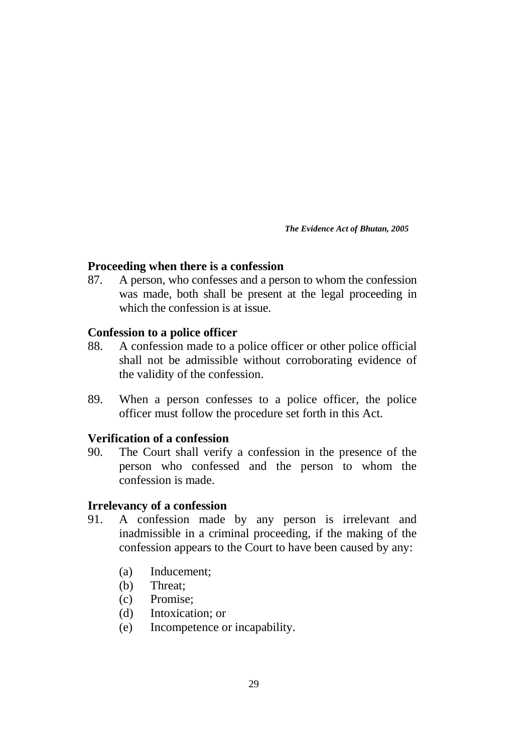## **Proceeding when there is a confession**

87. A person, who confesses and a person to whom the confession was made, both shall be present at the legal proceeding in which the confession is at issue.

## **Confession to a police officer**

- 88. A confession made to a police officer or other police official shall not be admissible without corroborating evidence of the validity of the confession.
- 89. When a person confesses to a police officer, the police officer must follow the procedure set forth in this Act.

## **Verification of a confession**

90. The Court shall verify a confession in the presence of the person who confessed and the person to whom the confession is made.

## **Irrelevancy of a confession**

- 91. A confession made by any person is irrelevant and inadmissible in a criminal proceeding, if the making of the confession appears to the Court to have been caused by any:
	- (a) Inducement;
	- (b) Threat;
	- (c) Promise;
	- (d) Intoxication; or
	- (e) Incompetence or incapability.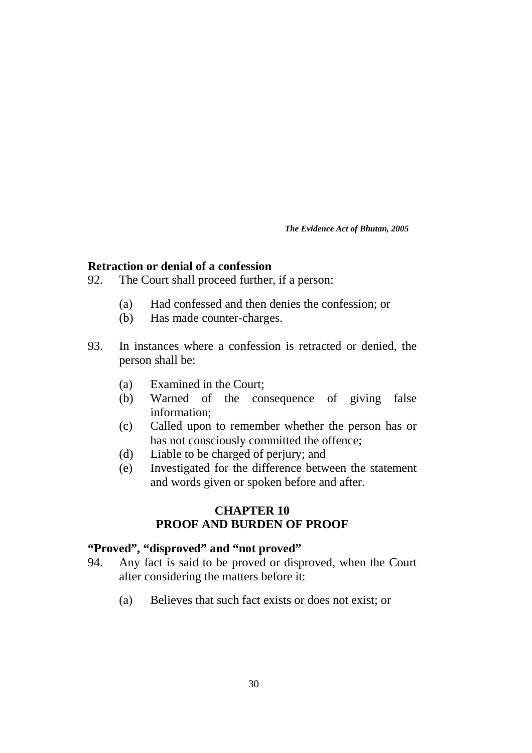## **Retraction or denial of a confession**

- 92. The Court shall proceed further, if a person:
	- (a) Had confessed and then denies the confession; or
	- (b) Has made counter-charges.
- 93. In instances where a confession is retracted or denied, the person shall be:
	- (a) Examined in the Court;
	- (b) Warned of the consequence of giving false information;
	- (c) Called upon to remember whether the person has or has not consciously committed the offence;
	- (d) Liable to be charged of perjury; and
	- (e) Investigated for the difference between the statement and words given or spoken before and after.

## **CHAPTER 10 PROOF AND BURDEN OF PROOF**

#### **"Proved", "disproved" and "not proved"**

- 94. Any fact is said to be proved or disproved, when the Court after considering the matters before it:
	- (a) Believes that such fact exists or does not exist; or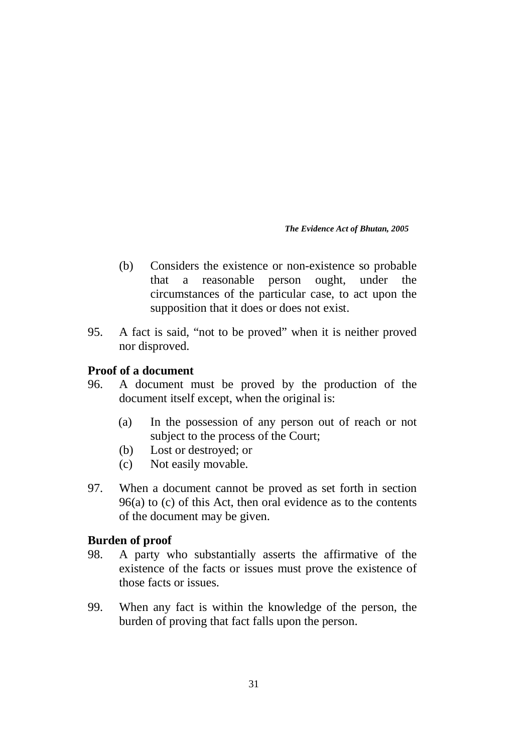- (b) Considers the existence or non-existence so probable that a reasonable person ought, under the circumstances of the particular case, to act upon the supposition that it does or does not exist.
- 95. A fact is said, "not to be proved" when it is neither proved nor disproved.

## **Proof of a document**

- 96. A document must be proved by the production of the document itself except, when the original is:
	- (a) In the possession of any person out of reach or not subject to the process of the Court;
	- (b) Lost or destroyed; or
	- (c) Not easily movable.
- 97. When a document cannot be proved as set forth in section 96(a) to (c) of this Act, then oral evidence as to the contents of the document may be given.

## **Burden of proof**

- 98. A party who substantially asserts the affirmative of the existence of the facts or issues must prove the existence of those facts or issues.
- 99. When any fact is within the knowledge of the person, the burden of proving that fact falls upon the person.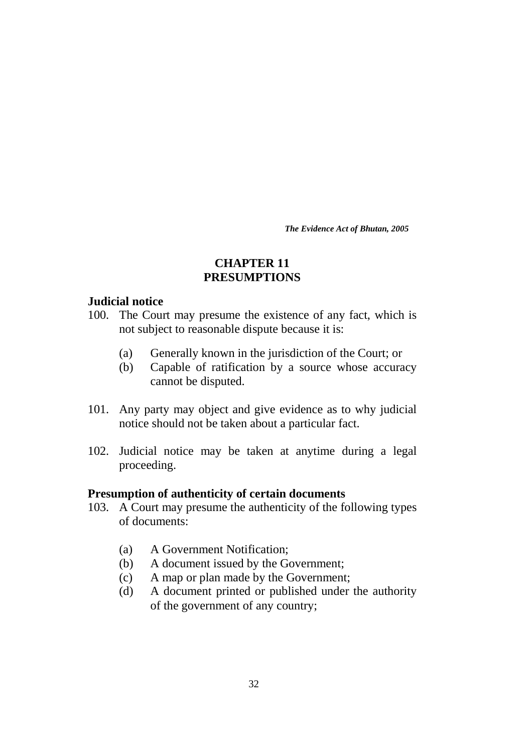## **CHAPTER 11 PRESUMPTIONS**

#### **Judicial notice**

- 100. The Court may presume the existence of any fact, which is not subject to reasonable dispute because it is:
	- (a) Generally known in the jurisdiction of the Court; or
	- (b) Capable of ratification by a source whose accuracy cannot be disputed.
- 101. Any party may object and give evidence as to why judicial notice should not be taken about a particular fact.
- 102. Judicial notice may be taken at anytime during a legal proceeding.

## **Presumption of authenticity of certain documents**

- 103. A Court may presume the authenticity of the following types of documents:
	- (a) A Government Notification;
	- (b) A document issued by the Government;
	- (c) A map or plan made by the Government;
	- (d) A document printed or published under the authority of the government of any country;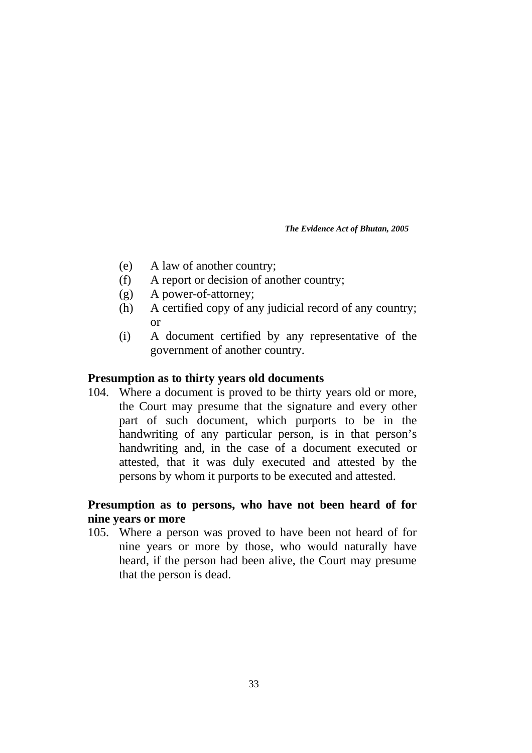- (e) A law of another country;
- (f) A report or decision of another country;
- (g) A power-of-attorney;
- (h) A certified copy of any judicial record of any country; or
- (i) A document certified by any representative of the government of another country.

## **Presumption as to thirty years old documents**

104. Where a document is proved to be thirty years old or more, the Court may presume that the signature and every other part of such document, which purports to be in the handwriting of any particular person, is in that person's handwriting and, in the case of a document executed or attested, that it was duly executed and attested by the persons by whom it purports to be executed and attested.

## **Presumption as to persons, who have not been heard of for nine years or more**

105. Where a person was proved to have been not heard of for nine years or more by those, who would naturally have heard, if the person had been alive, the Court may presume that the person is dead.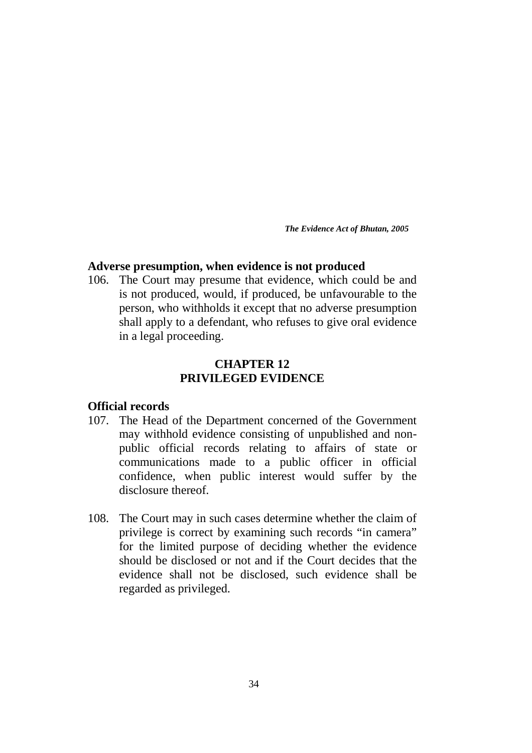## **Adverse presumption, when evidence is not produced**

106. The Court may presume that evidence, which could be and is not produced, would, if produced, be unfavourable to the person, who withholds it except that no adverse presumption shall apply to a defendant, who refuses to give oral evidence in a legal proceeding.

## **CHAPTER 12 PRIVILEGED EVIDENCE**

## **Official records**

- 107. The Head of the Department concerned of the Government may withhold evidence consisting of unpublished and nonpublic official records relating to affairs of state or communications made to a public officer in official confidence, when public interest would suffer by the disclosure thereof.
- 108. The Court may in such cases determine whether the claim of privilege is correct by examining such records "in camera" for the limited purpose of deciding whether the evidence should be disclosed or not and if the Court decides that the evidence shall not be disclosed, such evidence shall be regarded as privileged.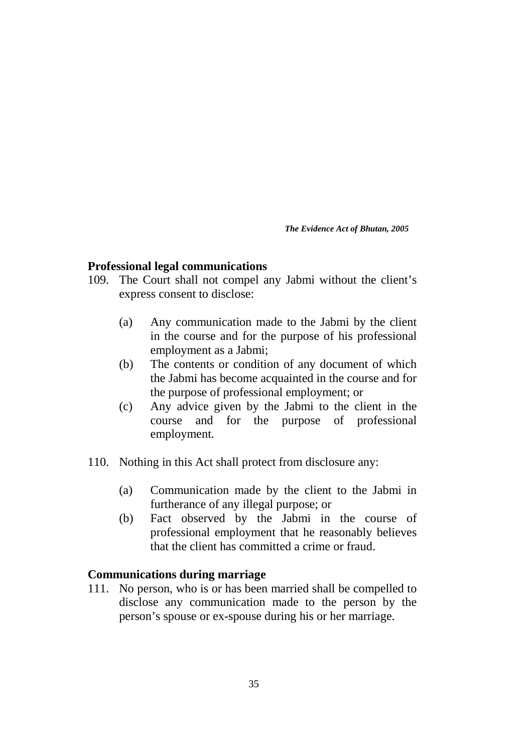## **Professional legal communications**

- 109. The Court shall not compel any Jabmi without the client's express consent to disclose:
	- (a) Any communication made to the Jabmi by the client in the course and for the purpose of his professional employment as a Jabmi;
	- (b) The contents or condition of any document of which the Jabmi has become acquainted in the course and for the purpose of professional employment; or
	- (c) Any advice given by the Jabmi to the client in the course and for the purpose of professional employment.
- 110. Nothing in this Act shall protect from disclosure any:
	- (a) Communication made by the client to the Jabmi in furtherance of any illegal purpose; or
	- (b) Fact observed by the Jabmi in the course of professional employment that he reasonably believes that the client has committed a crime or fraud.

#### **Communications during marriage**

111. No person, who is or has been married shall be compelled to disclose any communication made to the person by the person's spouse or ex-spouse during his or her marriage.